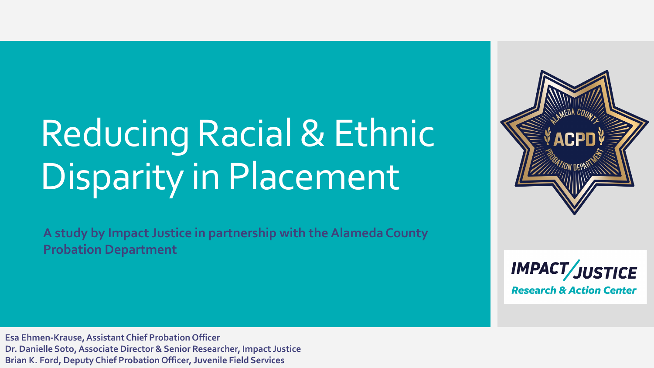# Reducing Racial & Ethnic Disparity in Placement

**A study by Impact Justice in partnership with the Alameda County Probation Department** 



**IMPACT/JUSTICE Research & Action Center** 

**Esa Ehmen-Krause, Assistant Chief Probation Officer Dr. Danielle Soto, Associate Director & Senior Researcher, Impact Justice Brian K. Ford, Deputy Chief Probation Officer, Juvenile Field Services**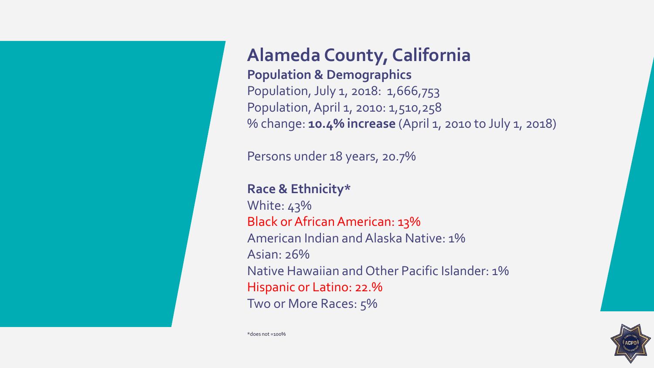**Alameda County, California Population & Demographics** Population, July 1, 2018: 1,666,753 Population, April 1, 2010: 1,510,258 % change: **10.4% increase** (April 1, 2010 to July 1, 2018)

Persons under 18 years, 20.7%

**Race & Ethnicity\*** White: 43% Black or African American: 13% American Indian and Alaska Native: 1% Asian: 26% Native Hawaiian and Other Pacific Islander: 1% Hispanic or Latino: 22.% Two or More Races: 5%



\*does not =100%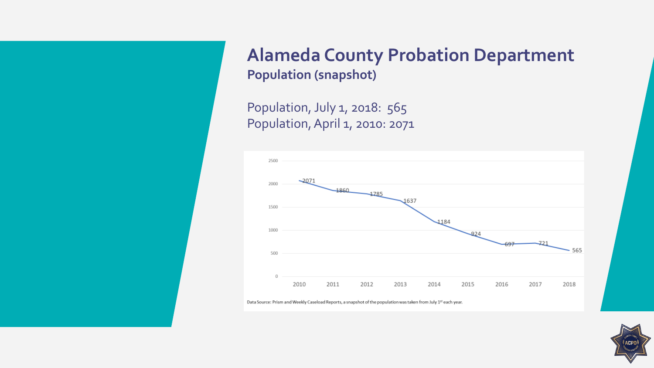**Alameda County Probation Department Population (snapshot)**

Population, July 1, 2018: 565 Population, April 1, 2010: 2071



Data Source: Prism and Weekly Caseload Reports, a snapshot of the population was taken from July 1st each year.

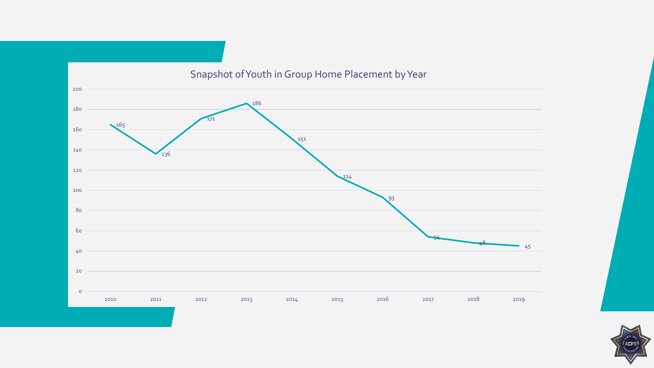

### Snapshot of Youth in Group Home Placement by Year

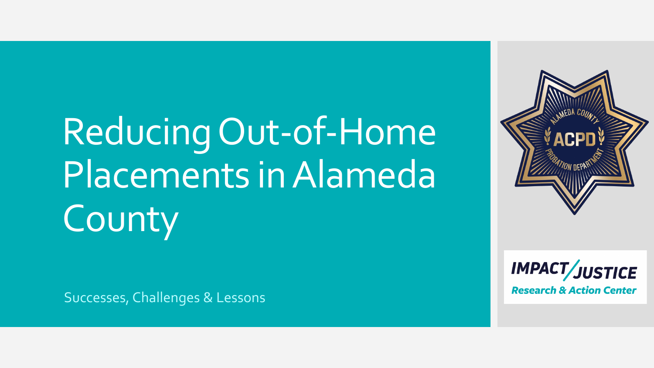# Reducing Out-of-Home Placements in Alameda County

Successes, Challenges & Lessons

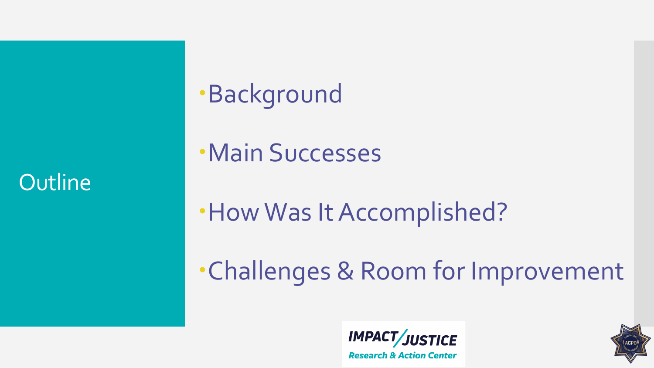**Outline** 

# **Background**

Main Successes

How Was It Accomplished?

Challenges & Room for Improvement



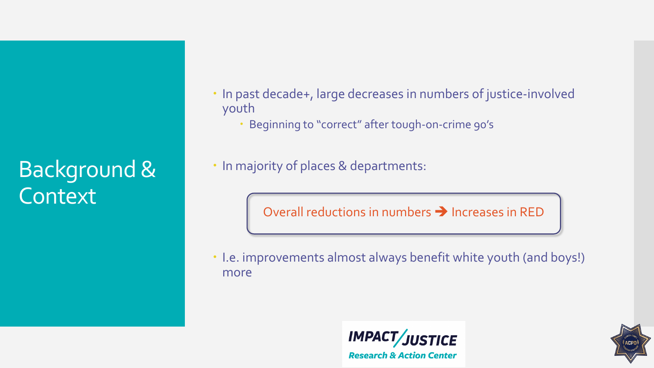Background & **Context** 

- In past decade+, large decreases in numbers of justice-involved youth
	- Beginning to "correct" after tough-on-crime 90's
- In majority of places & departments:

Overall reductions in numbers  $\rightarrow$  Increases in RED

 I.e. improvements almost always benefit white youth (and boys!) more



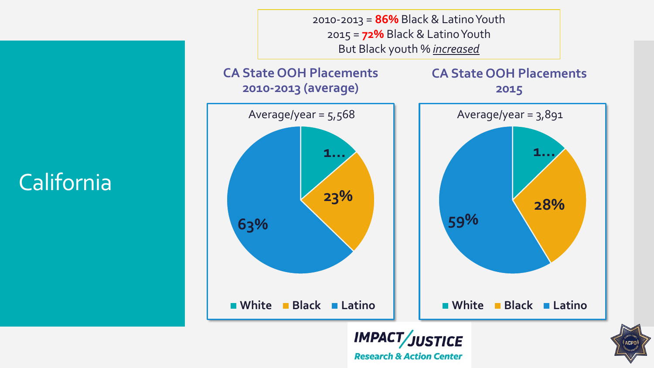California

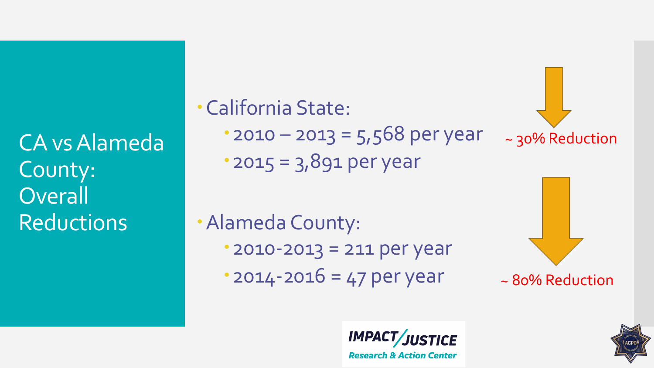CA vs Alameda County: **Overall** Reductions

California State:  $\cdot$  2010 – 2013 = 5,568 per year 2015 = 3,891 per year ~ 30% Reduction

Alameda County: 2010-2013 = 211 per year  $2014 - 2016 = 47$  per year

~ 80% Reduction



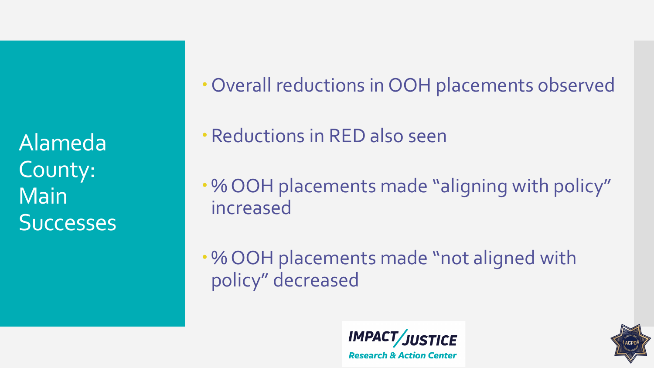Alameda County: Main **Successes**  Overall reductions in OOH placements observed

Reductions in RED also seen

% OOH placements made "aligning with policy" increased

% OOH placements made "not aligned with policy" decreased



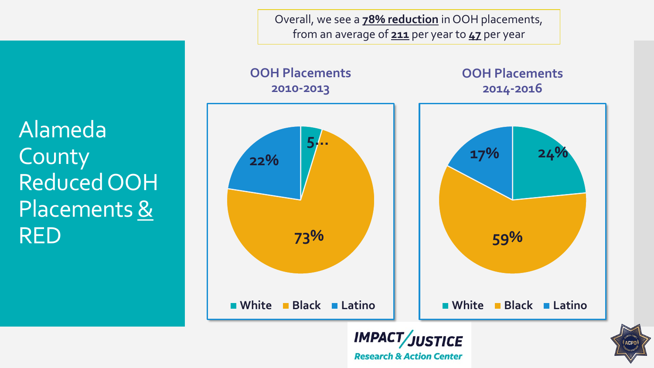Overall, we see a **78% reduction** in OOH placements, from an average of **211** per year to **47** per year

Alameda County Reduced OOH Placements & RED

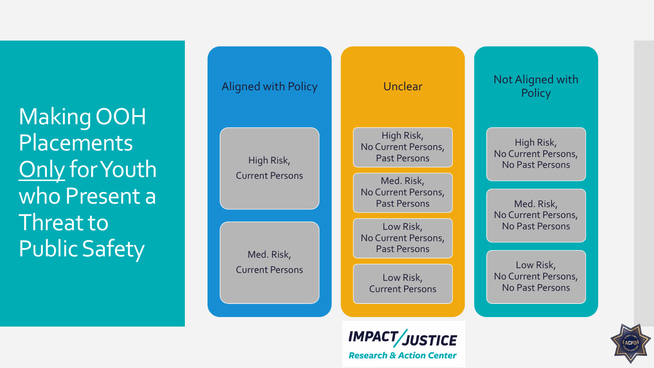Making OOH Placements Only for Youth who Present a Threat to Public Safety



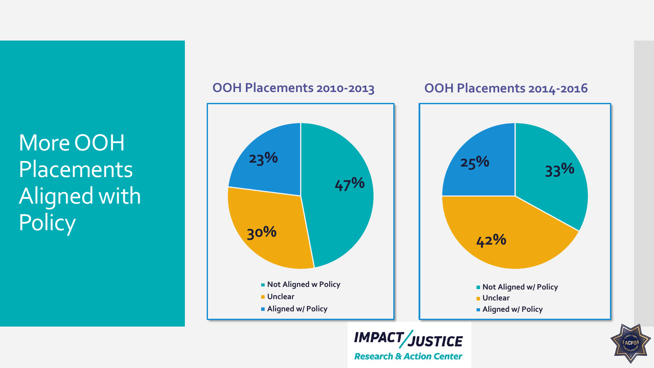More OOH **Placements** Aligned with **Policy** 



### **OOH Placements 2010-2013 OOH Placements 2014-2016**



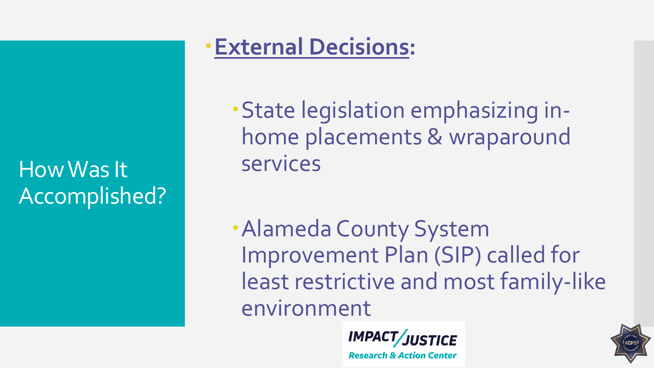How Was It Accomplished?

## **External Decisions:**

State legislation emphasizing inhome placements & wraparound services

Alameda County System Improvement Plan (SIP) called for least restrictive and most family-like environment

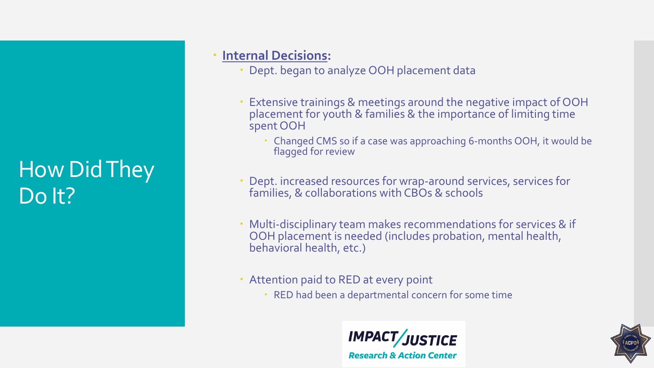## How Did They Do It?

## **Internal Decisions:**

- Dept. began to analyze OOH placement data
- Extensive trainings & meetings around the negative impact of OOH placement for youth & families & the importance of limiting time spent OOH
	- Changed CMS so if a case was approaching 6-months OOH, it would be flagged for review
- Dept. increased resources for wrap-around services, services for families, & collaborations with CBOs & schools
- Multi-disciplinary team makes recommendations for services & if OOH placement is needed (includes probation, mental health, behavioral health, etc.)
- Attention paid to RED at every point
	- RED had been a departmental concern for some time



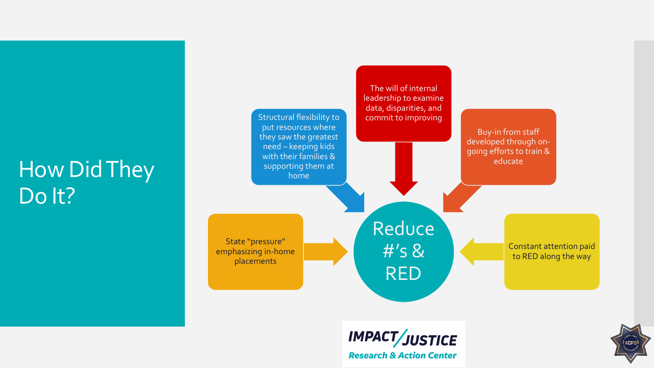## How Did They Do It?



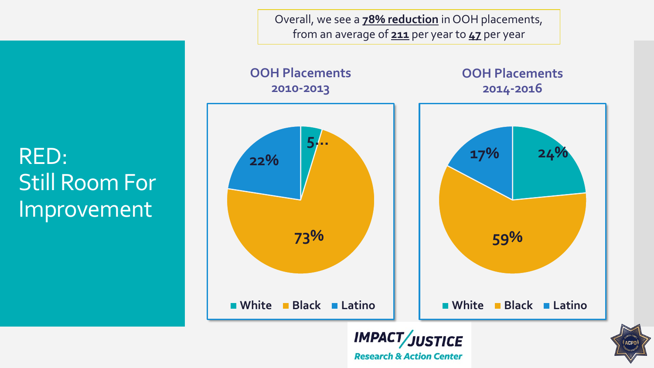Overall, we see a **78% reduction** in OOH placements, from an average of **211** per year to **47** per year

RED: Still Room For Improvement

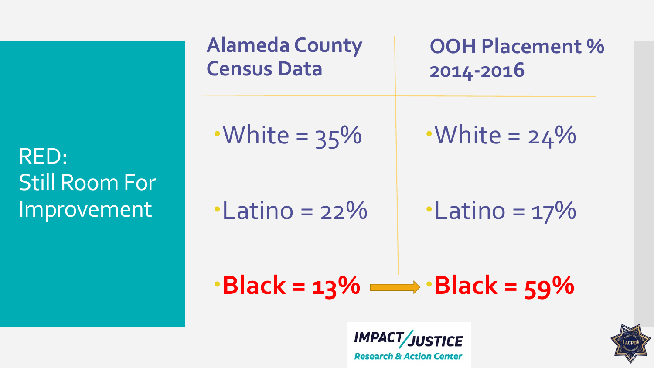RED: Still Room For Improvement

| Alameda County   | OOH Placement %  |
|------------------|------------------|
| Census Data      | $2014-2016$      |
| •White = $35\%$  | •White = $24\%$  |
| •Latino = $22\%$ | •Latino = $17\%$ |
| • Black = $13\%$ | • Black = $59\%$ |

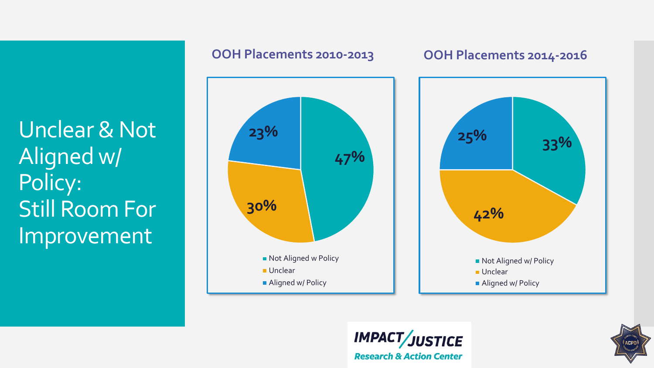Unclear & Not Aligned w/ Policy: Still Room For Improvement



## **OOH Placements 2010-2013 OOH Placements 2014-2016**





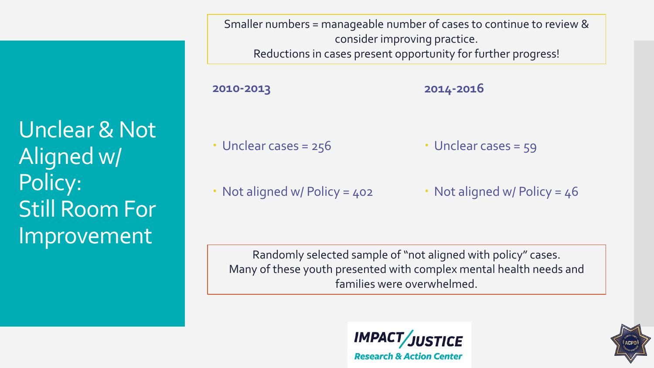Unclear & Not Aligned w/ Policy: Still Room For Improvement

Smaller numbers = manageable number of cases to continue to review & consider improving practice. Reductions in cases present opportunity for further progress!

**2010-2013** • Unclear cases = 256 **2014-2016** • Unclear cases = 59

• Not aligned w/ Policy = 402

• Not aligned w/ Policy =  $46$ 

Randomly selected sample of "not aligned with policy" cases. Many of these youth presented with complex mental health needs and families were overwhelmed.



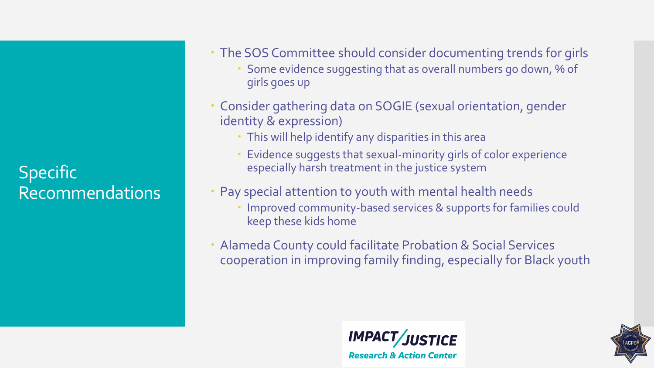Specific Recommendations

- The SOS Committee should consider documenting trends for girls
	- Some evidence suggesting that as overall numbers go down, % of girls goes up
- Consider gathering data on SOGIE (sexual orientation, gender identity & expression)
	- This will help identify any disparities in this area
	- Evidence suggests that sexual-minority girls of color experience especially harsh treatment in the justice system
- Pay special attention to youth with mental health needs
	- Improved community-based services & supports for families could keep these kids home
- Alameda County could facilitate Probation & Social Services cooperation in improving family finding, especially for Black youth



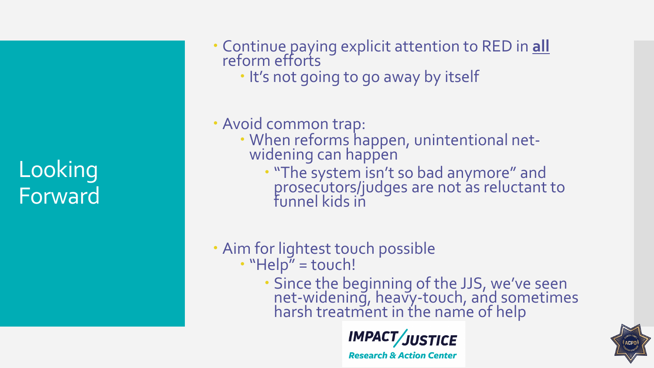Looking Forward  Continue paying explicit attention to RED in **all** reform efforts

. It's not going to go away by itself

## Avoid common trap:

- When reforms happen, unintentional net- widening can happen
	- "The system isn't so bad anymore" and prosecutors/judges are not as reluctant to funnel kids in

## Aim for lightest touch possible • "Help" = touch!

 Since the beginning of the JJS, we've seen net-widening, heavy-touch, and sometimes<br>harsh treatment in the name of help



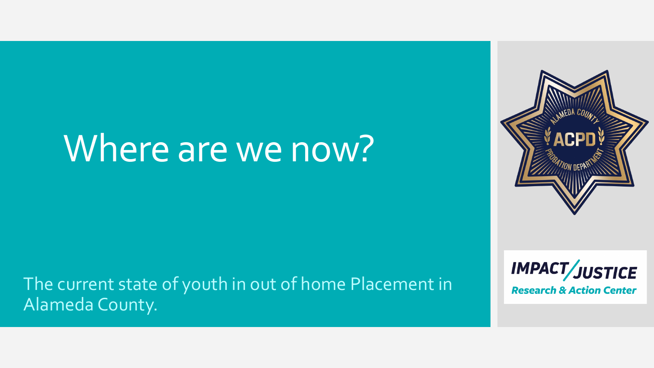# Where are we now?

## The current state of youth in out of home Placement in Alameda County.



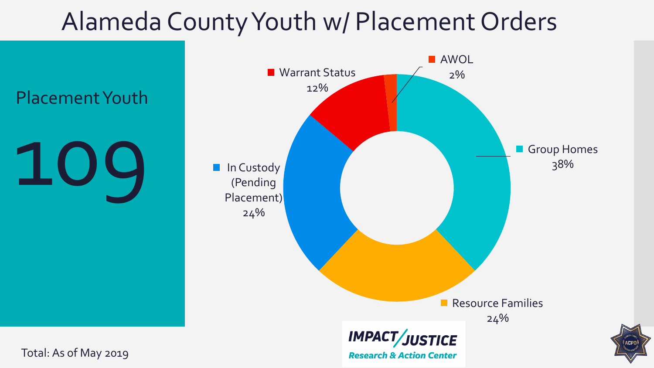# Alameda County Youth w/ Placement Orders

Placement Youth

109



Total: As of May 2019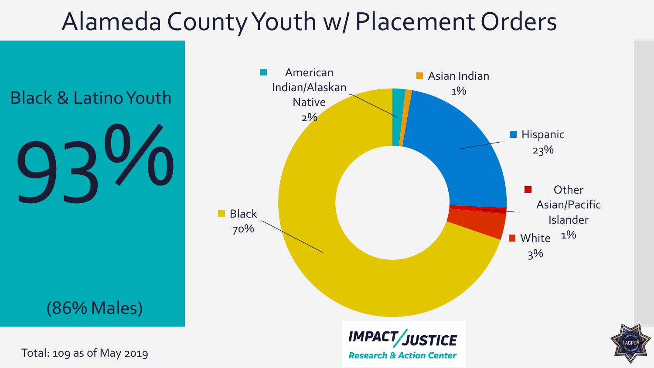# Alameda County Youth w/ Placement Orders

Black & Latino Youth

93%

(86% Males)



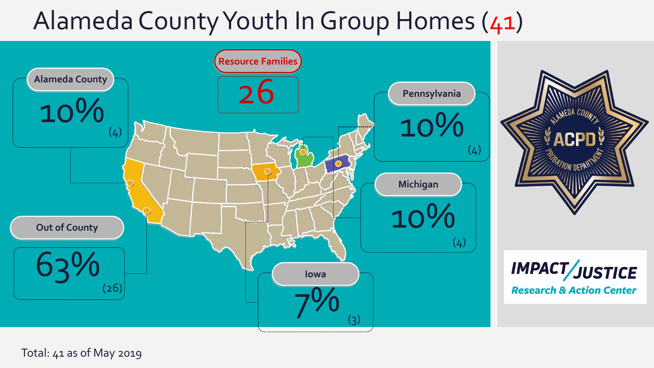

Total: 41 as of May 2019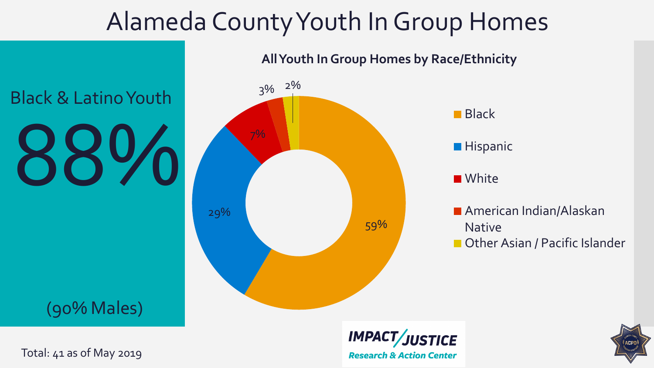88% Black & Latino Youth

(90% Males)



3% 2%

### **All Youth In Group Homes by Race/Ethnicity**







Total: 41 as of May 2019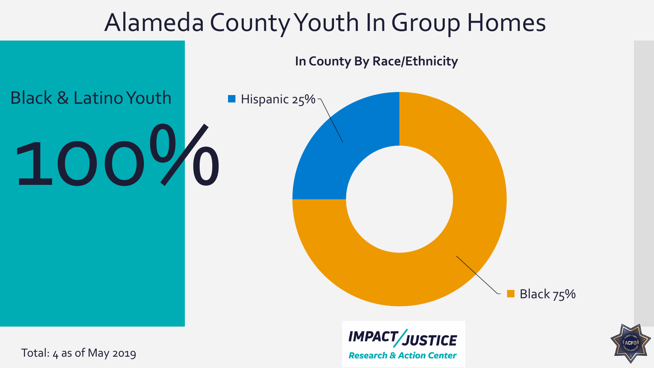





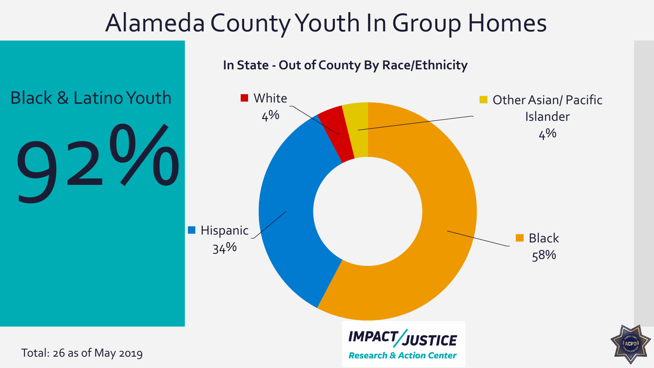

### **In State - Out of County By Race/Ethnicity**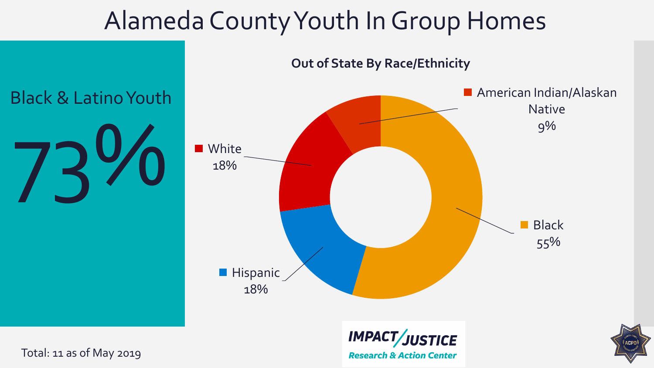

**Out of State By Race/Ethnicity**

Total: 11 as of May 2019

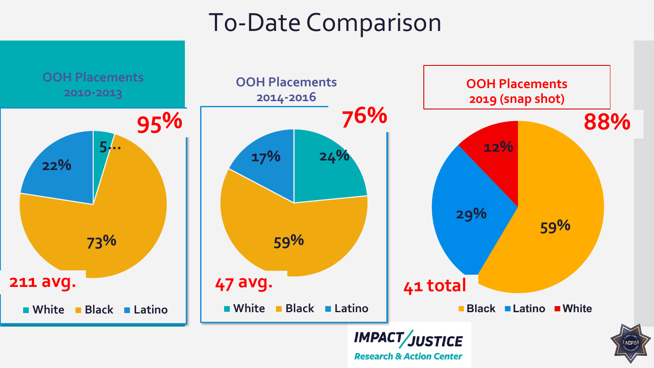# T0-Date Comparison

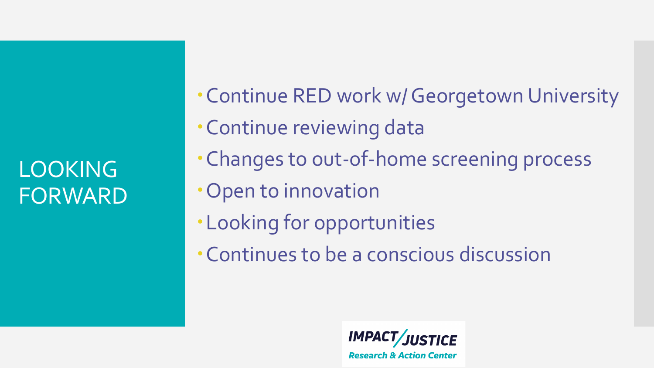LOOKING FORWARD

- Continue RED work w/ Georgetown University Continue reviewing data Changes to out-of-home screening process Open to innovation
	- Looking for opportunities
	- Continues to be a conscious discussion